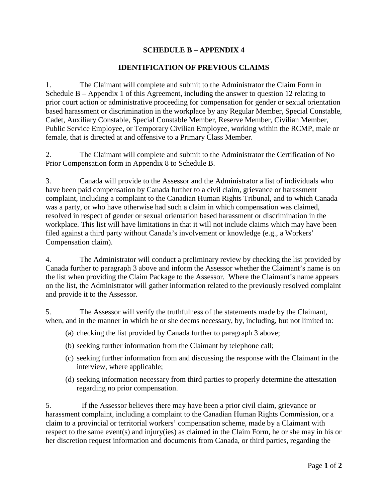## **SCHEDULE B – APPENDIX 4**

## **IDENTIFICATION OF PREVIOUS CLAIMS**

1. The Claimant will complete and submit to the Administrator the Claim Form in Schedule B – Appendix 1 of this Agreement, including the answer to question 12 relating to prior court action or administrative proceeding for compensation for gender or sexual orientation based harassment or discrimination in the workplace by any Regular Member, Special Constable, Cadet, Auxiliary Constable, Special Constable Member, Reserve Member, Civilian Member, Public Service Employee, or Temporary Civilian Employee, working within the RCMP, male or female, that is directed at and offensive to a Primary Class Member.

2. The Claimant will complete and submit to the Administrator the Certification of No Prior Compensation form in Appendix 8 to Schedule B.

3. Canada will provide to the Assessor and the Administrator a list of individuals who have been paid compensation by Canada further to a civil claim, grievance or harassment complaint, including a complaint to the Canadian Human Rights Tribunal, and to which Canada was a party, or who have otherwise had such a claim in which compensation was claimed, resolved in respect of gender or sexual orientation based harassment or discrimination in the workplace. This list will have limitations in that it will not include claims which may have been filed against a third party without Canada's involvement or knowledge (e.g., a Workers' Compensation claim).

4. The Administrator will conduct a preliminary review by checking the list provided by Canada further to paragraph 3 above and inform the Assessor whether the Claimant's name is on the list when providing the Claim Package to the Assessor. Where the Claimant's name appears on the list, the Administrator will gather information related to the previously resolved complaint and provide it to the Assessor.

5. The Assessor will verify the truthfulness of the statements made by the Claimant, when, and in the manner in which he or she deems necessary, by, including, but not limited to:

- (a) checking the list provided by Canada further to paragraph 3 above;
- (b) seeking further information from the Claimant by telephone call;
- (c) seeking further information from and discussing the response with the Claimant in the interview, where applicable;
- (d) seeking information necessary from third parties to properly determine the attestation regarding no prior compensation.

5. If the Assessor believes there may have been a prior civil claim, grievance or harassment complaint, including a complaint to the Canadian Human Rights Commission, or a claim to a provincial or territorial workers' compensation scheme, made by a Claimant with respect to the same event(s) and injury(ies) as claimed in the Claim Form, he or she may in his or her discretion request information and documents from Canada, or third parties, regarding the